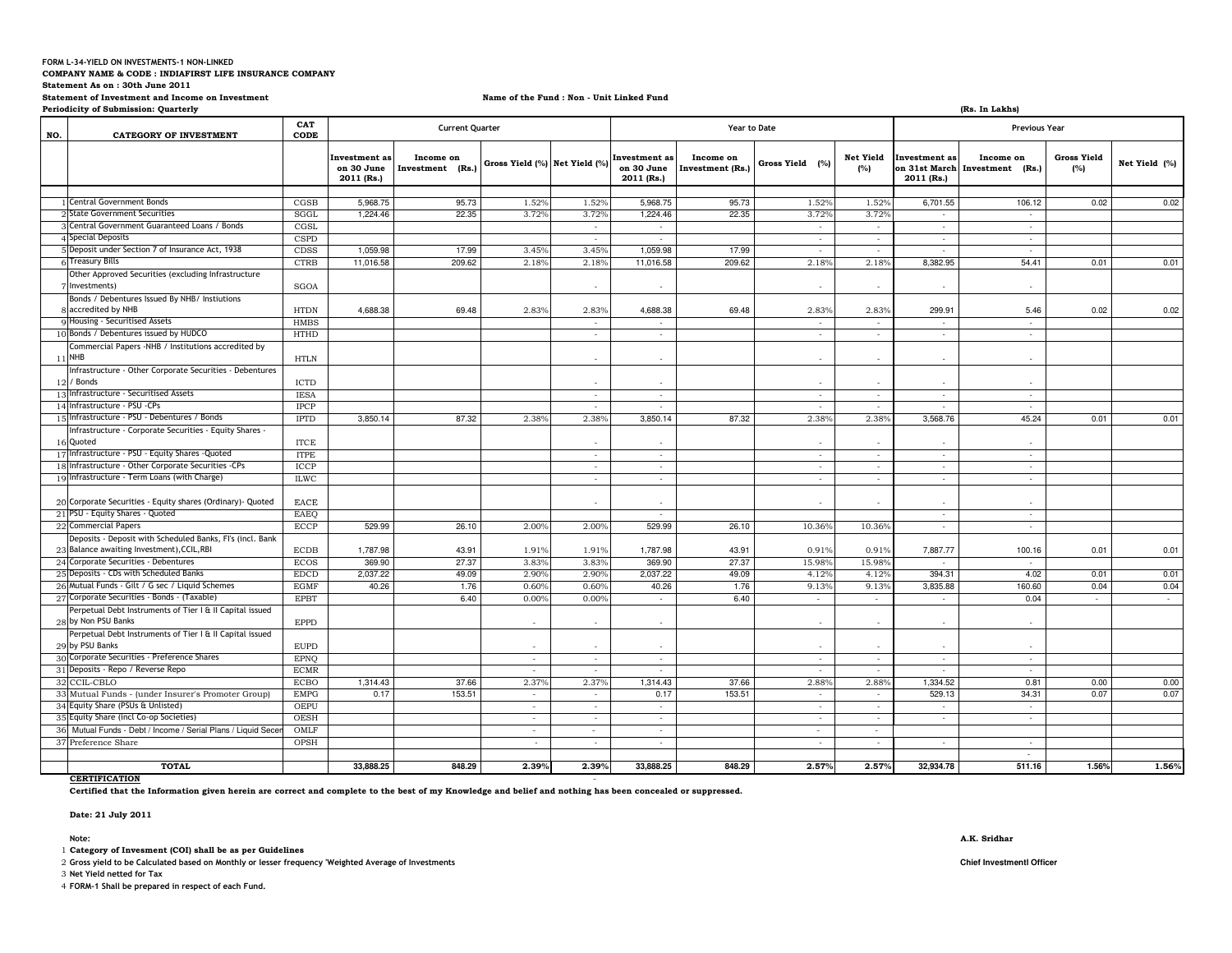#### **FORM L-34-YIELD ON INVESTMENTS-1 NON-LINKED**

**COMPANY NAME & CODE : INDIAFIRST LIFE INSURANCE COMPANY** 

**Statement As on : 30th June 2011**

**Statement of Investment and Income on Investment**

**Name of the Fund : Non - Unit Linked Fund**

**Periodicity of Submission: Quarterly (Rs. In Lakhs) NO. CATEGORY OF INVESTMENT CAT CODEInvestment as on 30 June 2011 (Rs.)Income on Investment (Rs.) Gross Yield (%) Net Yield (%) Investment as on 30 June 2011 (Rs.)Income on Investment (Rs.) Gross Yield (%) Net Yield (%) Investment as on 31st March Investment (Rs.)2011 (Rs.)Income on Gross Yield (%) Net Yield (%)** 1 Central Government Bonds CGSB 5,968.75 95.73 1.52% 1.52% 5,968.75 95.73 1.52% 1.52% 6,701.55 106.12 0.02 0.02 2 State Government Securities 2]State Government Securities SGGL 3.72% 3.72% 3.72% 3.72% 3.72% 3.72% 3.72% 3.72% 3.72% 3.72% 3.72% - - - - -3 Central Government Guaranteed Loans / Bonds CGSL - - - - - - 4 Special Deposits Special Deposits CSPD - - - - - - 5 Deposit under Section 7 of Insurance Act. 1938 Simple to Section 7 of Insurance Act, 1938 CDSS 1,059.98 17.99 3.45% 3.45% 1,059.98 17.99 17.99 1,059.98 1,059 6 Treasury Bills 0.011 1.016.58 12.18% 2.18% 2.18% 2.18% 2.18% 2.18% 2.18% 2.18% 2.18% 2.18% 2.18% 8.382.95 54.41 0.01 0.01 0.01 7Other Approved Securities (excluding InfrastructureInvestments) SGOA - - - - - - 8accredited by NHB 9Bonds / Debentures Issued By NHB/ Instiutions B 69.48 4,688.38 69.48 2.83% 2.83% 4,688.38 69.48 2.83% 2.83% 2.99.91 5.46 0.02 0.02 Housing - Securitised Assets HMBS - - - - - - 10 Bonds / Debentures issued by HUDCO Bonds / Debentures issued by HUDCO HTHD - - - - - - 11NHBCommercial Papers -NHB / Institutions accredited by HTLN - - - - - - 12/ Bonds 13Infrastructure - Other Corporate Securities - Debentures s and the contract of the contract of  $\mathbb{I}$  . In the contract of  $\mathbb{I}$  ,  $\mathbb{I}$  ,  $\mathbb{I}$  ,  $\mathbb{I}$  ,  $\mathbb{I}$  ,  $\mathbb{I}$  ,  $\mathbb{I}$  ,  $\mathbb{I}$  ,  $\mathbb{I}$  ,  $\mathbb{I}$  ,  $\mathbb{I}$  ,  $\mathbb{I}$  ,  $\mathbb{I}$  ,  $\mathbb{I}$  , - - - - - Infrastructure - Securitised Assets IESA - - - - - - 14 Infrastructure - PSU -CPs Infrastructure - PSU -CPs IPCP - - - - - - 15 Infrastructure - PSU - Debentures / Bonds 0.011 - PSU - Debentures / Bonds IPTD 8,850.14 87.32 2.38% 2.38% 3,850.14 87.32 2.38% 3,850.14 87.32 3,850.76 45.24 0.01 0.01 0.01 16Quoted 17 Infrastructure - PSU - Equity Shares -Quoted ITPE - - - - - - Infrastructure - Corporate Securities - Equity Shares d ince the control of the set of the set of the set of the set of the set of the set of the set of the set of t 18 Infrastructure - Other Corporate Securities -CPs ICCP - - - - - - 19 Infrastructure - Term Loans (with Charge) ILWC - - - - - - 20 Corporate Securities - Equity shares (Ordinary) Quoted EACE - - - - - - **Current Quarter Year to Date Previous Year** 21 PSU - Equity Shares - Quoted EAEQ - - - <sup>22</sup> Commercial Papers ECCP 26.10 529.99 2.00% 2.00% 26.10 529.99 10.36% 10.36% - - 23 Balance awaiting Investment), CCIL, RBI Deposits - Deposit with Scheduled Banks, FI's (incl. Bank Balance awaiting Investment),CCIL,RBI ECDB 43.91 1,787.98 1.91% 1.91% 43.91 1,787.98 0.91% 0.91% 100.16 7,887.77 0.01 0.01 24 Corporate Securities - Debentures Corporate Securities - Debentures ECOS 27.37 369.90 3.83% 3.83% 27.37 369.90 15.98% 15.98% - - 25 Deposits - CDs with Scheduled Banks EDCD 49.09 2,037.22 2.90% 2.90% 49.09 2,037.22 4.12% 4.12% 4.02 394.31 0.01 0.01 26 Mutual Funds - Gilt / G sec / Liquid Schemes Mutual Funds - Gilt / G sec / Liquid Schemes EGMF 1.76 40.26 0.60% 0.60% 1.76 40.26 9.13% 9.13% 160.60 3,835.88 0.04 0.04 27 Corporate Securities - Bonds - (Taxable) Corporate Securities - Bonds - (Taxable) EPBT 6.40 0.00% 0.00% 6.40 - - - 0.04 - - - 28 by Non PSU Banks Perpetual Debt Instruments of Tier I & II Capital issued s **EPPD**  - - - - - - - 29by PSU Banks29 by PSU Banks<br>30 Corporate Securities - Preference Shares EPNQ Perpetual Debt Instruments of Tier I & II Capital issued - - - - - - - - - - - - - - 31 Deposits - Repo / Reverse Repo **ECMR**  - - - - - - - <sup>32</sup> CCIL-CBLO $\hbox{O}$   $\hbox{ECBO}$   $\hbox{1,314.43}$   $\hbox{37.66}$   $\hbox{2.37\%}$   $\hbox{2.37\%}$   $\hbox{1,314.43}$   $\hbox{37.66}$   $\hbox{2.88\%}$   $\hbox{2.88\%}$   $\hbox{1,334.52}$   $\hbox{0.01}$   $\hbox{0.00}$   $\hbox{0.00}$ <sup>33</sup> Mutual Funds - (under Insurer's Promoter Group) EMPG 153.51 0.17 - 0.17 - 153.51 - - 529.13 34.31 0.07 0.07 34 Equity Share (PSUs & Unlisted) OEPU - - - - - - - 35Equity Share (incl Co-op Societies) OESH<br>Mutual Funds - Debt / Income / Serial Plans / Liquid Secer OMLF - - - - - - - 36 Mutual Funds - Debt / Income / Serial Plans / Liquid SecemesOMLF - - - - - <sup>37</sup> Preference Share OPSH - - - - - - - $511.16$ **TOTAL** 848.29 **33,888.25 2.39% 2.39% 848.29 33,888.25 2.57% 2.57% 511.16 32,934.78 1.56%1.56%**

## **CERTIFICATION**

- **Certified that the Information given herein are correct and complete to the best of my Knowledge and belief and nothing has been concealed or suppressed.**

**Date: 21 July 2011**

1 **Category of Invesment (COI) shall be as per Guidelines**

2 **Gross yield to be Calculated based on Monthly or lesser frequency 'Weighted Average of Investments Chief Investmentl Officer**

3 **Net Yield netted for Tax**

4 **FORM-1 Shall be prepared in respect of each Fund.**

### **Note: A.K. Sridhar**